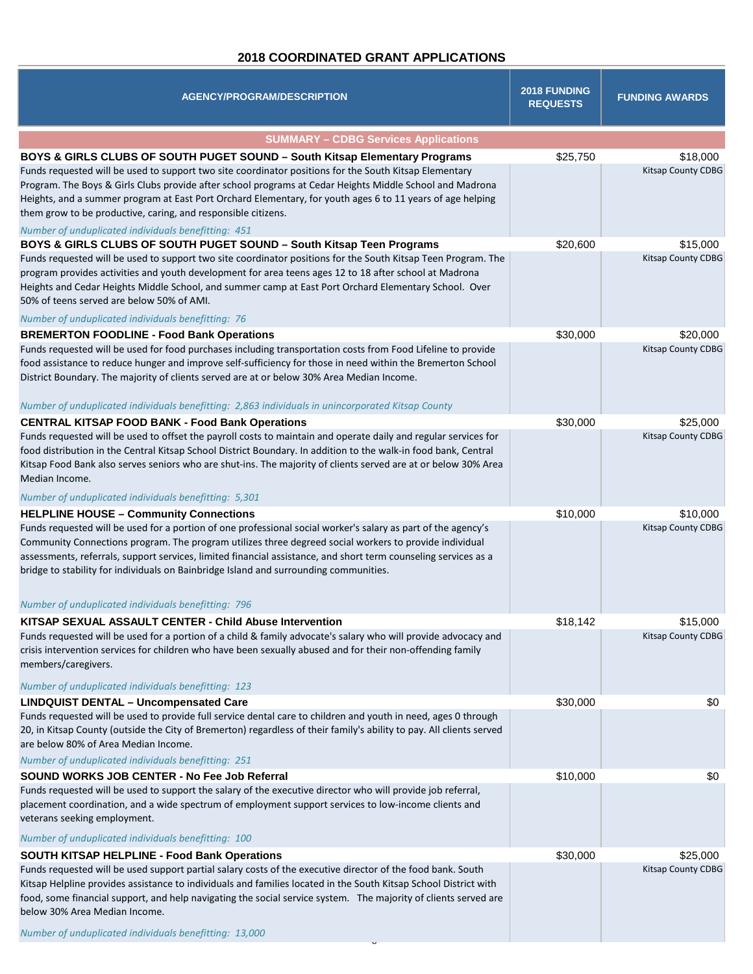## **2018 COORDINATED GRANT APPLICATIONS**

| <b>AGENCY/PROGRAM/DESCRIPTION</b>                                                                                                                                                                                                                                                                                                                                                                                                                                                                                                      | <b>2018 FUNDING</b><br><b>REQUESTS</b> | <b>FUNDING AWARDS</b>                 |
|----------------------------------------------------------------------------------------------------------------------------------------------------------------------------------------------------------------------------------------------------------------------------------------------------------------------------------------------------------------------------------------------------------------------------------------------------------------------------------------------------------------------------------------|----------------------------------------|---------------------------------------|
| <b>SUMMARY - CDBG Services Applications</b>                                                                                                                                                                                                                                                                                                                                                                                                                                                                                            |                                        |                                       |
| BOYS & GIRLS CLUBS OF SOUTH PUGET SOUND - South Kitsap Elementary Programs<br>Funds requested will be used to support two site coordinator positions for the South Kitsap Elementary<br>Program. The Boys & Girls Clubs provide after school programs at Cedar Heights Middle School and Madrona<br>Heights, and a summer program at East Port Orchard Elementary, for youth ages 6 to 11 years of age helping<br>them grow to be productive, caring, and responsible citizens.<br>Number of unduplicated individuals benefitting: 451 | \$25,750                               | \$18,000<br><b>Kitsap County CDBG</b> |
| BOYS & GIRLS CLUBS OF SOUTH PUGET SOUND - South Kitsap Teen Programs<br>Funds requested will be used to support two site coordinator positions for the South Kitsap Teen Program. The<br>program provides activities and youth development for area teens ages 12 to 18 after school at Madrona<br>Heights and Cedar Heights Middle School, and summer camp at East Port Orchard Elementary School. Over<br>50% of teens served are below 50% of AMI.<br>Number of unduplicated individuals benefitting: 76                            | \$20,600                               | \$15,000<br>Kitsap County CDBG        |
| <b>BREMERTON FOODLINE - Food Bank Operations</b><br>Funds requested will be used for food purchases including transportation costs from Food Lifeline to provide<br>food assistance to reduce hunger and improve self-sufficiency for those in need within the Bremerton School<br>District Boundary. The majority of clients served are at or below 30% Area Median Income.<br>Number of unduplicated individuals benefitting: 2,863 individuals in unincorporated Kitsap County                                                      | \$30,000                               | \$20,000<br>Kitsap County CDBG        |
| <b>CENTRAL KITSAP FOOD BANK - Food Bank Operations</b>                                                                                                                                                                                                                                                                                                                                                                                                                                                                                 | \$30,000                               | \$25,000                              |
| Funds requested will be used to offset the payroll costs to maintain and operate daily and regular services for<br>food distribution in the Central Kitsap School District Boundary. In addition to the walk-in food bank, Central<br>Kitsap Food Bank also serves seniors who are shut-ins. The majority of clients served are at or below 30% Area<br>Median Income.<br>Number of unduplicated individuals benefitting: 5,301                                                                                                        |                                        | <b>Kitsap County CDBG</b>             |
| <b>HELPLINE HOUSE - Community Connections</b>                                                                                                                                                                                                                                                                                                                                                                                                                                                                                          | \$10,000                               | \$10,000                              |
| Funds requested will be used for a portion of one professional social worker's salary as part of the agency's<br>Community Connections program. The program utilizes three degreed social workers to provide individual<br>assessments, referrals, support services, limited financial assistance, and short term counseling services as a<br>bridge to stability for individuals on Bainbridge Island and surrounding communities.                                                                                                    |                                        | Kitsap County CDBG                    |
| Number of unduplicated individuals benefitting: 796                                                                                                                                                                                                                                                                                                                                                                                                                                                                                    |                                        |                                       |
| KITSAP SEXUAL ASSAULT CENTER - Child Abuse Intervention<br>Funds requested will be used for a portion of a child & family advocate's salary who will provide advocacy and<br>crisis intervention services for children who have been sexually abused and for their non-offending family<br>members/caregivers.<br>Number of unduplicated individuals benefitting: 123                                                                                                                                                                  | \$18,142                               | \$15,000<br>Kitsap County CDBG        |
| <b>LINDQUIST DENTAL - Uncompensated Care</b>                                                                                                                                                                                                                                                                                                                                                                                                                                                                                           | \$30,000                               | \$0                                   |
| Funds requested will be used to provide full service dental care to children and youth in need, ages 0 through<br>20, in Kitsap County (outside the City of Bremerton) regardless of their family's ability to pay. All clients served<br>are below 80% of Area Median Income.<br>Number of unduplicated individuals benefitting: 251                                                                                                                                                                                                  |                                        |                                       |
| SOUND WORKS JOB CENTER - No Fee Job Referral                                                                                                                                                                                                                                                                                                                                                                                                                                                                                           | \$10,000                               | \$0                                   |
| Funds requested will be used to support the salary of the executive director who will provide job referral,<br>placement coordination, and a wide spectrum of employment support services to low-income clients and<br>veterans seeking employment.                                                                                                                                                                                                                                                                                    |                                        |                                       |
| Number of unduplicated individuals benefitting: 100                                                                                                                                                                                                                                                                                                                                                                                                                                                                                    |                                        |                                       |
| SOUTH KITSAP HELPLINE - Food Bank Operations                                                                                                                                                                                                                                                                                                                                                                                                                                                                                           | \$30,000                               | \$25,000                              |
| Funds requested will be used support partial salary costs of the executive director of the food bank. South<br>Kitsap Helpline provides assistance to individuals and families located in the South Kitsap School District with<br>food, some financial support, and help navigating the social service system. The majority of clients served are<br>below 30% Area Median Income.                                                                                                                                                    |                                        | <b>Kitsap County CDBG</b>             |
| Number of unduplicated individuals benefitting: 13,000                                                                                                                                                                                                                                                                                                                                                                                                                                                                                 |                                        |                                       |

.<br>ان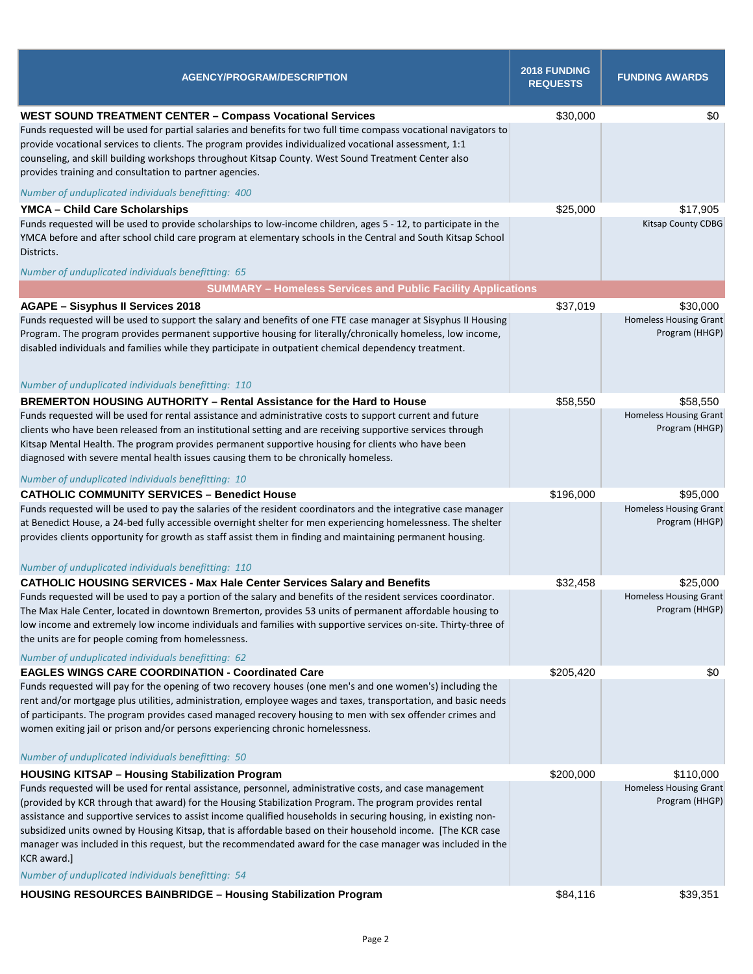| \$0<br><b>WEST SOUND TREATMENT CENTER - Compass Vocational Services</b><br>\$30,000<br>Funds requested will be used for partial salaries and benefits for two full time compass vocational navigators to<br>provide vocational services to clients. The program provides individualized vocational assessment, 1:1<br>counseling, and skill building workshops throughout Kitsap County. West Sound Treatment Center also<br>provides training and consultation to partner agencies.<br>Number of unduplicated individuals benefitting: 400<br>\$25,000<br><b>YMCA - Child Care Scholarships</b><br>\$17,905<br>Funds requested will be used to provide scholarships to low-income children, ages 5 - 12, to participate in the<br><b>Kitsap County CDBG</b><br>YMCA before and after school child care program at elementary schools in the Central and South Kitsap School<br>Districts.<br>Number of unduplicated individuals benefitting: 65<br><b>SUMMARY - Homeless Services and Public Facility Applications</b><br>\$37,019<br>\$30,000<br><b>AGAPE - Sisyphus II Services 2018</b><br>Funds requested will be used to support the salary and benefits of one FTE case manager at Sisyphus II Housing<br><b>Homeless Housing Grant</b><br>Program (HHGP)<br>Program. The program provides permanent supportive housing for literally/chronically homeless, low income,<br>disabled individuals and families while they participate in outpatient chemical dependency treatment.<br>Number of unduplicated individuals benefitting: 110<br>BREMERTON HOUSING AUTHORITY - Rental Assistance for the Hard to House<br>\$58,550<br>\$58,550<br><b>Homeless Housing Grant</b><br>Funds requested will be used for rental assistance and administrative costs to support current and future<br>Program (HHGP)<br>clients who have been released from an institutional setting and are receiving supportive services through<br>Kitsap Mental Health. The program provides permanent supportive housing for clients who have been<br>diagnosed with severe mental health issues causing them to be chronically homeless.<br>Number of unduplicated individuals benefitting: 10<br><b>CATHOLIC COMMUNITY SERVICES - Benedict House</b><br>\$196,000<br>\$95,000<br><b>Homeless Housing Grant</b><br>Funds requested will be used to pay the salaries of the resident coordinators and the integrative case manager<br>Program (HHGP)<br>at Benedict House, a 24-bed fully accessible overnight shelter for men experiencing homelessness. The shelter<br>provides clients opportunity for growth as staff assist them in finding and maintaining permanent housing.<br>Number of unduplicated individuals benefitting: 110<br><b>CATHOLIC HOUSING SERVICES - Max Hale Center Services Salary and Benefits</b><br>\$32,458<br>\$25,000<br>Funds requested will be used to pay a portion of the salary and benefits of the resident services coordinator.<br><b>Homeless Housing Grant</b><br>Program (HHGP)<br>The Max Hale Center, located in downtown Bremerton, provides 53 units of permanent affordable housing to<br>low income and extremely low income individuals and families with supportive services on-site. Thirty-three of<br>the units are for people coming from homelessness.<br>Number of unduplicated individuals benefitting: 62<br><b>EAGLES WINGS CARE COORDINATION - Coordinated Care</b><br>\$205,420<br>\$0<br>Funds requested will pay for the opening of two recovery houses (one men's and one women's) including the<br>rent and/or mortgage plus utilities, administration, employee wages and taxes, transportation, and basic needs<br>of participants. The program provides cased managed recovery housing to men with sex offender crimes and<br>women exiting jail or prison and/or persons experiencing chronic homelessness.<br>Number of unduplicated individuals benefitting: 50<br>\$200,000<br><b>HOUSING KITSAP - Housing Stabilization Program</b><br>\$110,000<br><b>Homeless Housing Grant</b><br>Funds requested will be used for rental assistance, personnel, administrative costs, and case management<br>Program (HHGP)<br>(provided by KCR through that award) for the Housing Stabilization Program. The program provides rental<br>assistance and supportive services to assist income qualified households in securing housing, in existing non-<br>subsidized units owned by Housing Kitsap, that is affordable based on their household income. [The KCR case<br>manager was included in this request, but the recommendated award for the case manager was included in the<br>KCR award.]<br>Number of unduplicated individuals benefitting: 54 | <b>AGENCY/PROGRAM/DESCRIPTION</b>                                   | 2018 FUNDING<br><b>REQUESTS</b> | <b>FUNDING AWARDS</b> |
|----------------------------------------------------------------------------------------------------------------------------------------------------------------------------------------------------------------------------------------------------------------------------------------------------------------------------------------------------------------------------------------------------------------------------------------------------------------------------------------------------------------------------------------------------------------------------------------------------------------------------------------------------------------------------------------------------------------------------------------------------------------------------------------------------------------------------------------------------------------------------------------------------------------------------------------------------------------------------------------------------------------------------------------------------------------------------------------------------------------------------------------------------------------------------------------------------------------------------------------------------------------------------------------------------------------------------------------------------------------------------------------------------------------------------------------------------------------------------------------------------------------------------------------------------------------------------------------------------------------------------------------------------------------------------------------------------------------------------------------------------------------------------------------------------------------------------------------------------------------------------------------------------------------------------------------------------------------------------------------------------------------------------------------------------------------------------------------------------------------------------------------------------------------------------------------------------------------------------------------------------------------------------------------------------------------------------------------------------------------------------------------------------------------------------------------------------------------------------------------------------------------------------------------------------------------------------------------------------------------------------------------------------------------------------------------------------------------------------------------------------------------------------------------------------------------------------------------------------------------------------------------------------------------------------------------------------------------------------------------------------------------------------------------------------------------------------------------------------------------------------------------------------------------------------------------------------------------------------------------------------------------------------------------------------------------------------------------------------------------------------------------------------------------------------------------------------------------------------------------------------------------------------------------------------------------------------------------------------------------------------------------------------------------------------------------------------------------------------------------------------------------------------------------------------------------------------------------------------------------------------------------------------------------------------------------------------------------------------------------------------------------------------------------------------------------------------------------------------------------------------------------------------------------------------------------------------------------------------------------------------------------------------------------------------------------------------------------------------------------------------------------------------------------------------------------------------------------------------------------------------------------------------------------------------------------------------------------------------------------------------------------------------------------------------------------------------------|---------------------------------------------------------------------|---------------------------------|-----------------------|
|                                                                                                                                                                                                                                                                                                                                                                                                                                                                                                                                                                                                                                                                                                                                                                                                                                                                                                                                                                                                                                                                                                                                                                                                                                                                                                                                                                                                                                                                                                                                                                                                                                                                                                                                                                                                                                                                                                                                                                                                                                                                                                                                                                                                                                                                                                                                                                                                                                                                                                                                                                                                                                                                                                                                                                                                                                                                                                                                                                                                                                                                                                                                                                                                                                                                                                                                                                                                                                                                                                                                                                                                                                                                                                                                                                                                                                                                                                                                                                                                                                                                                                                                                                                                                                                                                                                                                                                                                                                                                                                                                                                                                                                                                                          |                                                                     |                                 |                       |
|                                                                                                                                                                                                                                                                                                                                                                                                                                                                                                                                                                                                                                                                                                                                                                                                                                                                                                                                                                                                                                                                                                                                                                                                                                                                                                                                                                                                                                                                                                                                                                                                                                                                                                                                                                                                                                                                                                                                                                                                                                                                                                                                                                                                                                                                                                                                                                                                                                                                                                                                                                                                                                                                                                                                                                                                                                                                                                                                                                                                                                                                                                                                                                                                                                                                                                                                                                                                                                                                                                                                                                                                                                                                                                                                                                                                                                                                                                                                                                                                                                                                                                                                                                                                                                                                                                                                                                                                                                                                                                                                                                                                                                                                                                          |                                                                     |                                 |                       |
|                                                                                                                                                                                                                                                                                                                                                                                                                                                                                                                                                                                                                                                                                                                                                                                                                                                                                                                                                                                                                                                                                                                                                                                                                                                                                                                                                                                                                                                                                                                                                                                                                                                                                                                                                                                                                                                                                                                                                                                                                                                                                                                                                                                                                                                                                                                                                                                                                                                                                                                                                                                                                                                                                                                                                                                                                                                                                                                                                                                                                                                                                                                                                                                                                                                                                                                                                                                                                                                                                                                                                                                                                                                                                                                                                                                                                                                                                                                                                                                                                                                                                                                                                                                                                                                                                                                                                                                                                                                                                                                                                                                                                                                                                                          |                                                                     |                                 |                       |
|                                                                                                                                                                                                                                                                                                                                                                                                                                                                                                                                                                                                                                                                                                                                                                                                                                                                                                                                                                                                                                                                                                                                                                                                                                                                                                                                                                                                                                                                                                                                                                                                                                                                                                                                                                                                                                                                                                                                                                                                                                                                                                                                                                                                                                                                                                                                                                                                                                                                                                                                                                                                                                                                                                                                                                                                                                                                                                                                                                                                                                                                                                                                                                                                                                                                                                                                                                                                                                                                                                                                                                                                                                                                                                                                                                                                                                                                                                                                                                                                                                                                                                                                                                                                                                                                                                                                                                                                                                                                                                                                                                                                                                                                                                          |                                                                     |                                 |                       |
|                                                                                                                                                                                                                                                                                                                                                                                                                                                                                                                                                                                                                                                                                                                                                                                                                                                                                                                                                                                                                                                                                                                                                                                                                                                                                                                                                                                                                                                                                                                                                                                                                                                                                                                                                                                                                                                                                                                                                                                                                                                                                                                                                                                                                                                                                                                                                                                                                                                                                                                                                                                                                                                                                                                                                                                                                                                                                                                                                                                                                                                                                                                                                                                                                                                                                                                                                                                                                                                                                                                                                                                                                                                                                                                                                                                                                                                                                                                                                                                                                                                                                                                                                                                                                                                                                                                                                                                                                                                                                                                                                                                                                                                                                                          |                                                                     |                                 |                       |
|                                                                                                                                                                                                                                                                                                                                                                                                                                                                                                                                                                                                                                                                                                                                                                                                                                                                                                                                                                                                                                                                                                                                                                                                                                                                                                                                                                                                                                                                                                                                                                                                                                                                                                                                                                                                                                                                                                                                                                                                                                                                                                                                                                                                                                                                                                                                                                                                                                                                                                                                                                                                                                                                                                                                                                                                                                                                                                                                                                                                                                                                                                                                                                                                                                                                                                                                                                                                                                                                                                                                                                                                                                                                                                                                                                                                                                                                                                                                                                                                                                                                                                                                                                                                                                                                                                                                                                                                                                                                                                                                                                                                                                                                                                          |                                                                     |                                 |                       |
|                                                                                                                                                                                                                                                                                                                                                                                                                                                                                                                                                                                                                                                                                                                                                                                                                                                                                                                                                                                                                                                                                                                                                                                                                                                                                                                                                                                                                                                                                                                                                                                                                                                                                                                                                                                                                                                                                                                                                                                                                                                                                                                                                                                                                                                                                                                                                                                                                                                                                                                                                                                                                                                                                                                                                                                                                                                                                                                                                                                                                                                                                                                                                                                                                                                                                                                                                                                                                                                                                                                                                                                                                                                                                                                                                                                                                                                                                                                                                                                                                                                                                                                                                                                                                                                                                                                                                                                                                                                                                                                                                                                                                                                                                                          |                                                                     |                                 |                       |
|                                                                                                                                                                                                                                                                                                                                                                                                                                                                                                                                                                                                                                                                                                                                                                                                                                                                                                                                                                                                                                                                                                                                                                                                                                                                                                                                                                                                                                                                                                                                                                                                                                                                                                                                                                                                                                                                                                                                                                                                                                                                                                                                                                                                                                                                                                                                                                                                                                                                                                                                                                                                                                                                                                                                                                                                                                                                                                                                                                                                                                                                                                                                                                                                                                                                                                                                                                                                                                                                                                                                                                                                                                                                                                                                                                                                                                                                                                                                                                                                                                                                                                                                                                                                                                                                                                                                                                                                                                                                                                                                                                                                                                                                                                          |                                                                     |                                 |                       |
|                                                                                                                                                                                                                                                                                                                                                                                                                                                                                                                                                                                                                                                                                                                                                                                                                                                                                                                                                                                                                                                                                                                                                                                                                                                                                                                                                                                                                                                                                                                                                                                                                                                                                                                                                                                                                                                                                                                                                                                                                                                                                                                                                                                                                                                                                                                                                                                                                                                                                                                                                                                                                                                                                                                                                                                                                                                                                                                                                                                                                                                                                                                                                                                                                                                                                                                                                                                                                                                                                                                                                                                                                                                                                                                                                                                                                                                                                                                                                                                                                                                                                                                                                                                                                                                                                                                                                                                                                                                                                                                                                                                                                                                                                                          |                                                                     |                                 |                       |
|                                                                                                                                                                                                                                                                                                                                                                                                                                                                                                                                                                                                                                                                                                                                                                                                                                                                                                                                                                                                                                                                                                                                                                                                                                                                                                                                                                                                                                                                                                                                                                                                                                                                                                                                                                                                                                                                                                                                                                                                                                                                                                                                                                                                                                                                                                                                                                                                                                                                                                                                                                                                                                                                                                                                                                                                                                                                                                                                                                                                                                                                                                                                                                                                                                                                                                                                                                                                                                                                                                                                                                                                                                                                                                                                                                                                                                                                                                                                                                                                                                                                                                                                                                                                                                                                                                                                                                                                                                                                                                                                                                                                                                                                                                          |                                                                     |                                 |                       |
|                                                                                                                                                                                                                                                                                                                                                                                                                                                                                                                                                                                                                                                                                                                                                                                                                                                                                                                                                                                                                                                                                                                                                                                                                                                                                                                                                                                                                                                                                                                                                                                                                                                                                                                                                                                                                                                                                                                                                                                                                                                                                                                                                                                                                                                                                                                                                                                                                                                                                                                                                                                                                                                                                                                                                                                                                                                                                                                                                                                                                                                                                                                                                                                                                                                                                                                                                                                                                                                                                                                                                                                                                                                                                                                                                                                                                                                                                                                                                                                                                                                                                                                                                                                                                                                                                                                                                                                                                                                                                                                                                                                                                                                                                                          |                                                                     |                                 |                       |
|                                                                                                                                                                                                                                                                                                                                                                                                                                                                                                                                                                                                                                                                                                                                                                                                                                                                                                                                                                                                                                                                                                                                                                                                                                                                                                                                                                                                                                                                                                                                                                                                                                                                                                                                                                                                                                                                                                                                                                                                                                                                                                                                                                                                                                                                                                                                                                                                                                                                                                                                                                                                                                                                                                                                                                                                                                                                                                                                                                                                                                                                                                                                                                                                                                                                                                                                                                                                                                                                                                                                                                                                                                                                                                                                                                                                                                                                                                                                                                                                                                                                                                                                                                                                                                                                                                                                                                                                                                                                                                                                                                                                                                                                                                          |                                                                     |                                 |                       |
|                                                                                                                                                                                                                                                                                                                                                                                                                                                                                                                                                                                                                                                                                                                                                                                                                                                                                                                                                                                                                                                                                                                                                                                                                                                                                                                                                                                                                                                                                                                                                                                                                                                                                                                                                                                                                                                                                                                                                                                                                                                                                                                                                                                                                                                                                                                                                                                                                                                                                                                                                                                                                                                                                                                                                                                                                                                                                                                                                                                                                                                                                                                                                                                                                                                                                                                                                                                                                                                                                                                                                                                                                                                                                                                                                                                                                                                                                                                                                                                                                                                                                                                                                                                                                                                                                                                                                                                                                                                                                                                                                                                                                                                                                                          |                                                                     |                                 |                       |
|                                                                                                                                                                                                                                                                                                                                                                                                                                                                                                                                                                                                                                                                                                                                                                                                                                                                                                                                                                                                                                                                                                                                                                                                                                                                                                                                                                                                                                                                                                                                                                                                                                                                                                                                                                                                                                                                                                                                                                                                                                                                                                                                                                                                                                                                                                                                                                                                                                                                                                                                                                                                                                                                                                                                                                                                                                                                                                                                                                                                                                                                                                                                                                                                                                                                                                                                                                                                                                                                                                                                                                                                                                                                                                                                                                                                                                                                                                                                                                                                                                                                                                                                                                                                                                                                                                                                                                                                                                                                                                                                                                                                                                                                                                          |                                                                     |                                 |                       |
|                                                                                                                                                                                                                                                                                                                                                                                                                                                                                                                                                                                                                                                                                                                                                                                                                                                                                                                                                                                                                                                                                                                                                                                                                                                                                                                                                                                                                                                                                                                                                                                                                                                                                                                                                                                                                                                                                                                                                                                                                                                                                                                                                                                                                                                                                                                                                                                                                                                                                                                                                                                                                                                                                                                                                                                                                                                                                                                                                                                                                                                                                                                                                                                                                                                                                                                                                                                                                                                                                                                                                                                                                                                                                                                                                                                                                                                                                                                                                                                                                                                                                                                                                                                                                                                                                                                                                                                                                                                                                                                                                                                                                                                                                                          |                                                                     |                                 |                       |
|                                                                                                                                                                                                                                                                                                                                                                                                                                                                                                                                                                                                                                                                                                                                                                                                                                                                                                                                                                                                                                                                                                                                                                                                                                                                                                                                                                                                                                                                                                                                                                                                                                                                                                                                                                                                                                                                                                                                                                                                                                                                                                                                                                                                                                                                                                                                                                                                                                                                                                                                                                                                                                                                                                                                                                                                                                                                                                                                                                                                                                                                                                                                                                                                                                                                                                                                                                                                                                                                                                                                                                                                                                                                                                                                                                                                                                                                                                                                                                                                                                                                                                                                                                                                                                                                                                                                                                                                                                                                                                                                                                                                                                                                                                          |                                                                     |                                 |                       |
|                                                                                                                                                                                                                                                                                                                                                                                                                                                                                                                                                                                                                                                                                                                                                                                                                                                                                                                                                                                                                                                                                                                                                                                                                                                                                                                                                                                                                                                                                                                                                                                                                                                                                                                                                                                                                                                                                                                                                                                                                                                                                                                                                                                                                                                                                                                                                                                                                                                                                                                                                                                                                                                                                                                                                                                                                                                                                                                                                                                                                                                                                                                                                                                                                                                                                                                                                                                                                                                                                                                                                                                                                                                                                                                                                                                                                                                                                                                                                                                                                                                                                                                                                                                                                                                                                                                                                                                                                                                                                                                                                                                                                                                                                                          |                                                                     |                                 |                       |
|                                                                                                                                                                                                                                                                                                                                                                                                                                                                                                                                                                                                                                                                                                                                                                                                                                                                                                                                                                                                                                                                                                                                                                                                                                                                                                                                                                                                                                                                                                                                                                                                                                                                                                                                                                                                                                                                                                                                                                                                                                                                                                                                                                                                                                                                                                                                                                                                                                                                                                                                                                                                                                                                                                                                                                                                                                                                                                                                                                                                                                                                                                                                                                                                                                                                                                                                                                                                                                                                                                                                                                                                                                                                                                                                                                                                                                                                                                                                                                                                                                                                                                                                                                                                                                                                                                                                                                                                                                                                                                                                                                                                                                                                                                          | <b>HOUSING RESOURCES BAINBRIDGE - Housing Stabilization Program</b> | \$84,116                        | \$39,351              |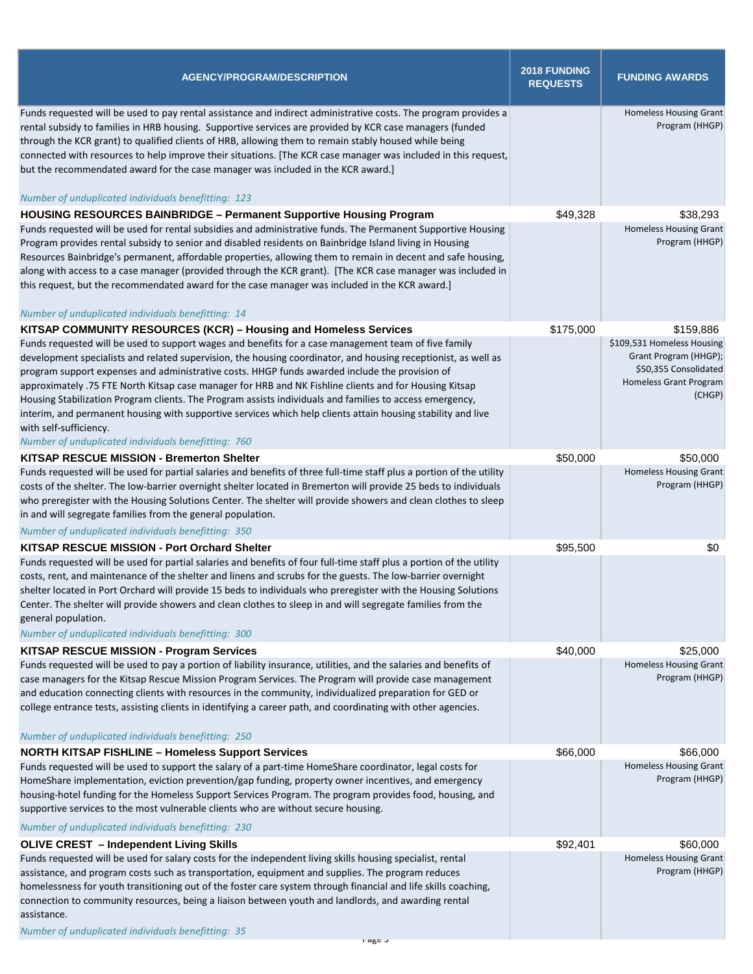| <b>AGENCY/PROGRAM/DESCRIPTION</b>                                                                                                                                                                                                                                                                                                                                                                                                                                                                                                                                                                                                                                                                                                               | 2018 FUNDING<br><b>REQUESTS</b> | <b>FUNDING AWARDS</b>                                                                                            |
|-------------------------------------------------------------------------------------------------------------------------------------------------------------------------------------------------------------------------------------------------------------------------------------------------------------------------------------------------------------------------------------------------------------------------------------------------------------------------------------------------------------------------------------------------------------------------------------------------------------------------------------------------------------------------------------------------------------------------------------------------|---------------------------------|------------------------------------------------------------------------------------------------------------------|
| Funds requested will be used to pay rental assistance and indirect administrative costs. The program provides a<br>rental subsidy to families in HRB housing. Supportive services are provided by KCR case managers (funded<br>through the KCR grant) to qualified clients of HRB, allowing them to remain stably housed while being<br>connected with resources to help improve their situations. [The KCR case manager was included in this request,<br>but the recommendated award for the case manager was included in the KCR award.]<br>Number of unduplicated individuals benefitting: 123                                                                                                                                               |                                 | <b>Homeless Housing Grant</b><br>Program (HHGP)                                                                  |
|                                                                                                                                                                                                                                                                                                                                                                                                                                                                                                                                                                                                                                                                                                                                                 |                                 |                                                                                                                  |
| <b>HOUSING RESOURCES BAINBRIDGE - Permanent Supportive Housing Program</b><br>Funds requested will be used for rental subsidies and administrative funds. The Permanent Supportive Housing<br>Program provides rental subsidy to senior and disabled residents on Bainbridge Island living in Housing<br>Resources Bainbridge's permanent, affordable properties, allowing them to remain in decent and safe housing,<br>along with access to a case manager (provided through the KCR grant). [The KCR case manager was included in<br>this request, but the recommendated award for the case manager was included in the KCR award.]<br>Number of unduplicated individuals benefitting: 14                                                    | \$49,328                        | \$38,293<br><b>Homeless Housing Grant</b><br>Program (HHGP)                                                      |
| KITSAP COMMUNITY RESOURCES (KCR) - Housing and Homeless Services                                                                                                                                                                                                                                                                                                                                                                                                                                                                                                                                                                                                                                                                                | \$175,000                       | \$159,886                                                                                                        |
| Funds requested will be used to support wages and benefits for a case management team of five family<br>development specialists and related supervision, the housing coordinator, and housing receptionist, as well as<br>program support expenses and administrative costs. HHGP funds awarded include the provision of<br>approximately .75 FTE North Kitsap case manager for HRB and NK Fishline clients and for Housing Kitsap<br>Housing Stabilization Program clients. The Program assists individuals and families to access emergency,<br>interim, and permanent housing with supportive services which help clients attain housing stability and live<br>with self-sufficiency.<br>Number of unduplicated individuals benefitting: 760 |                                 | \$109,531 Homeless Housing<br>Grant Program (HHGP);<br>\$50,355 Consolidated<br>Homeless Grant Program<br>(CHGP) |
| <b>KITSAP RESCUE MISSION - Bremerton Shelter</b>                                                                                                                                                                                                                                                                                                                                                                                                                                                                                                                                                                                                                                                                                                | \$50,000                        | \$50,000                                                                                                         |
| Funds requested will be used for partial salaries and benefits of three full-time staff plus a portion of the utility<br>costs of the shelter. The low-barrier overnight shelter located in Bremerton will provide 25 beds to individuals<br>who preregister with the Housing Solutions Center. The shelter will provide showers and clean clothes to sleep<br>in and will segregate families from the general population.<br>Number of unduplicated individuals benefitting: 350                                                                                                                                                                                                                                                               |                                 | <b>Homeless Housing Grant</b><br>Program (HHGP)                                                                  |
| KITSAP RESCUE MISSION - Port Orchard Shelter                                                                                                                                                                                                                                                                                                                                                                                                                                                                                                                                                                                                                                                                                                    | \$95,500                        | \$0                                                                                                              |
| Funds requested will be used for partial salaries and benefits of four full-time staff plus a portion of the utility<br>costs, rent, and maintenance of the shelter and linens and scrubs for the guests. The low-barrier overnight<br>shelter located in Port Orchard will provide 15 beds to individuals who preregister with the Housing Solutions<br>Center. The shelter will provide showers and clean clothes to sleep in and will segregate families from the<br>general population.<br>Number of unduplicated individuals benefitting: 300                                                                                                                                                                                              |                                 |                                                                                                                  |
| <b>KITSAP RESCUE MISSION - Program Services</b>                                                                                                                                                                                                                                                                                                                                                                                                                                                                                                                                                                                                                                                                                                 | \$40,000                        | \$25,000                                                                                                         |
| Funds requested will be used to pay a portion of liability insurance, utilities, and the salaries and benefits of<br>case managers for the Kitsap Rescue Mission Program Services. The Program will provide case management<br>and education connecting clients with resources in the community, individualized preparation for GED or<br>college entrance tests, assisting clients in identifying a career path, and coordinating with other agencies.<br>Number of unduplicated individuals benefitting: 250                                                                                                                                                                                                                                  |                                 | <b>Homeless Housing Grant</b><br>Program (HHGP)                                                                  |
| <b>NORTH KITSAP FISHLINE - Homeless Support Services</b>                                                                                                                                                                                                                                                                                                                                                                                                                                                                                                                                                                                                                                                                                        | \$66,000                        | \$66,000                                                                                                         |
| Funds requested will be used to support the salary of a part-time HomeShare coordinator, legal costs for<br>HomeShare implementation, eviction prevention/gap funding, property owner incentives, and emergency<br>housing-hotel funding for the Homeless Support Services Program. The program provides food, housing, and<br>supportive services to the most vulnerable clients who are without secure housing.<br>Number of unduplicated individuals benefitting: 230                                                                                                                                                                                                                                                                        |                                 | <b>Homeless Housing Grant</b><br>Program (HHGP)                                                                  |
| <b>OLIVE CREST - Independent Living Skills</b>                                                                                                                                                                                                                                                                                                                                                                                                                                                                                                                                                                                                                                                                                                  | \$92,401                        | \$60,000                                                                                                         |
| Funds requested will be used for salary costs for the independent living skills housing specialist, rental<br>assistance, and program costs such as transportation, equipment and supplies. The program reduces<br>homelessness for youth transitioning out of the foster care system through financial and life skills coaching,<br>connection to community resources, being a liaison between youth and landlords, and awarding rental<br>assistance.<br>Number of unduplicated individuals benefitting: 35                                                                                                                                                                                                                                   |                                 | <b>Homeless Housing Grant</b><br>Program (HHGP)                                                                  |
| r age u                                                                                                                                                                                                                                                                                                                                                                                                                                                                                                                                                                                                                                                                                                                                         |                                 |                                                                                                                  |